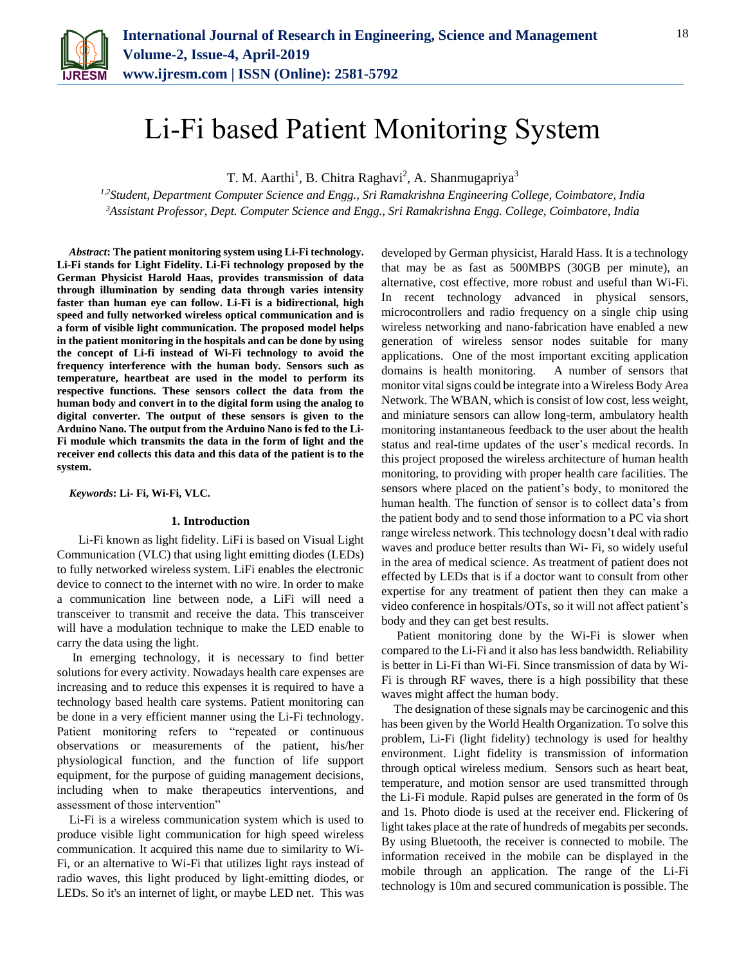

# Li-Fi based Patient Monitoring System

T. M. Aarthi<sup>1</sup>, B. Chitra Raghavi<sup>2</sup>, A. Shanmugapriya<sup>3</sup>

*1,2Student, Department Computer Science and Engg., Sri Ramakrishna Engineering College, Coimbatore, India <sup>3</sup>Assistant Professor, Dept. Computer Science and Engg., Sri Ramakrishna Engg. College, Coimbatore, India*

*Abstract***: The patient monitoring system using Li-Fi technology. Li-Fi stands for Light Fidelity. Li-Fi technology proposed by the German Physicist Harold Haas, provides transmission of data through illumination by sending data through varies intensity faster than human eye can follow. Li-Fi is a bidirectional, high speed and fully networked wireless optical communication and is a form of visible light communication. The proposed model helps in the patient monitoring in the hospitals and can be done by using the concept of Li-fi instead of Wi-Fi technology to avoid the frequency interference with the human body. Sensors such as temperature, heartbeat are used in the model to perform its respective functions. These sensors collect the data from the human body and convert in to the digital form using the analog to digital converter. The output of these sensors is given to the Arduino Nano. The output from the Arduino Nano is fed to the Li-Fi module which transmits the data in the form of light and the receiver end collects this data and this data of the patient is to the system.**

*Keywords***: Li- Fi, Wi-Fi, VLC.**

## **1. Introduction**

 Li-Fi known as light fidelity. LiFi is based on Visual Light Communication (VLC) that using light emitting diodes (LEDs) to fully networked wireless system. LiFi enables the electronic device to connect to the internet with no wire. In order to make a communication line between node, a LiFi will need a transceiver to transmit and receive the data. This transceiver will have a modulation technique to make the LED enable to carry the data using the light.

In emerging technology, it is necessary to find better solutions for every activity. Nowadays health care expenses are increasing and to reduce this expenses it is required to have a technology based health care systems. Patient monitoring can be done in a very efficient manner using the Li-Fi technology. Patient monitoring refers to "repeated or continuous observations or measurements of the patient, his/her physiological function, and the function of life support equipment, for the purpose of guiding management decisions, including when to make therapeutics interventions, and assessment of those intervention"

Li-Fi is a wireless communication system which is used to produce visible light communication for high speed wireless communication. It acquired this name due to similarity to Wi-Fi, or an alternative to Wi-Fi that utilizes light rays instead of radio waves, this light produced by light-emitting diodes, or LEDs. So it's an internet of light, or maybe LED net. This was

developed by German physicist, Harald Hass. It is a technology that may be as fast as 500MBPS (30GB per minute), an alternative, cost effective, more robust and useful than Wi-Fi. In recent technology advanced in physical sensors, microcontrollers and radio frequency on a single chip using wireless networking and nano-fabrication have enabled a new generation of wireless sensor nodes suitable for many applications. One of the most important exciting application domains is health monitoring. A number of sensors that monitor vital signs could be integrate into a Wireless Body Area Network. The WBAN, which is consist of low cost, less weight, and miniature sensors can allow long-term, ambulatory health monitoring instantaneous feedback to the user about the health status and real-time updates of the user's medical records. In this project proposed the wireless architecture of human health monitoring, to providing with proper health care facilities. The sensors where placed on the patient's body, to monitored the human health. The function of sensor is to collect data's from the patient body and to send those information to a PC via short range wireless network. This technology doesn't deal with radio waves and produce better results than Wi- Fi, so widely useful in the area of medical science. As treatment of patient does not effected by LEDs that is if a doctor want to consult from other expertise for any treatment of patient then they can make a video conference in hospitals/OTs, so it will not affect patient's body and they can get best results.

Patient monitoring done by the Wi-Fi is slower when compared to the Li-Fi and it also has less bandwidth. Reliability is better in Li-Fi than Wi-Fi. Since transmission of data by Wi-Fi is through RF waves, there is a high possibility that these waves might affect the human body.

The designation of these signals may be carcinogenic and this has been given by the World Health Organization. To solve this problem, Li-Fi (light fidelity) technology is used for healthy environment. Light fidelity is transmission of information through optical wireless medium. Sensors such as heart beat, temperature, and motion sensor are used transmitted through the Li-Fi module. Rapid pulses are generated in the form of 0s and 1s. Photo diode is used at the receiver end. Flickering of light takes place at the rate of hundreds of megabits per seconds. By using Bluetooth, the receiver is connected to mobile. The information received in the mobile can be displayed in the mobile through an application. The range of the Li-Fi technology is 10m and secured communication is possible. The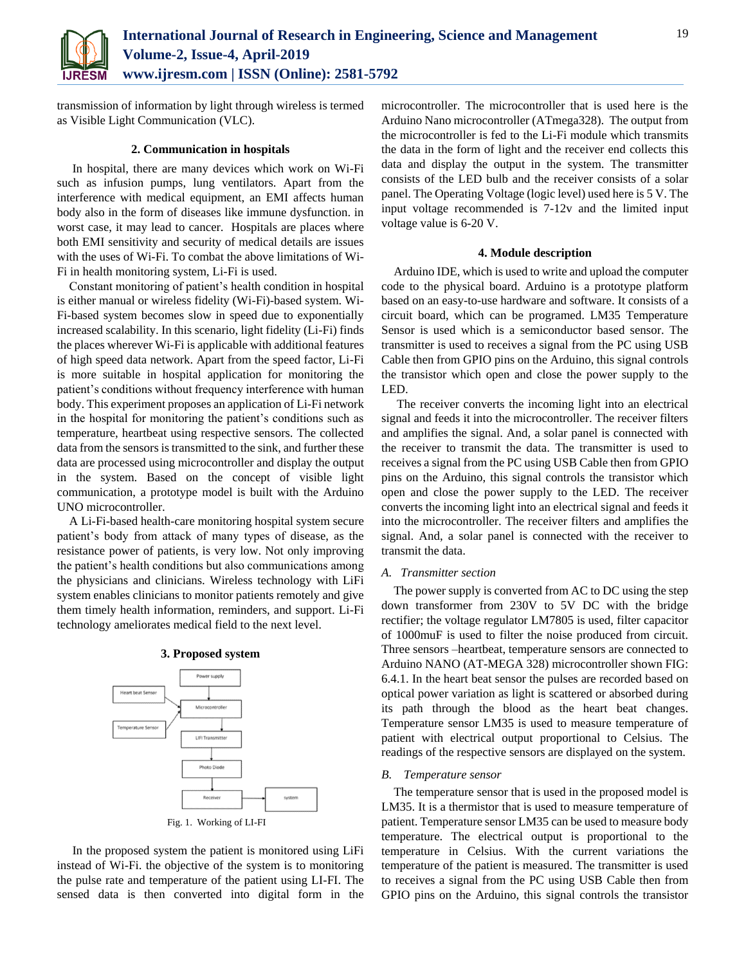

transmission of information by light through wireless is termed as Visible Light Communication (VLC).

### **2. Communication in hospitals**

In hospital, there are many devices which work on Wi-Fi such as infusion pumps, lung ventilators. Apart from the interference with medical equipment, an EMI affects human body also in the form of diseases like immune dysfunction. in worst case, it may lead to cancer. Hospitals are places where both EMI sensitivity and security of medical details are issues with the uses of Wi-Fi. To combat the above limitations of Wi-Fi in health monitoring system, Li-Fi is used.

Constant monitoring of patient's health condition in hospital is either manual or wireless fidelity (Wi-Fi)-based system. Wi-Fi-based system becomes slow in speed due to exponentially increased scalability. In this scenario, light fidelity (Li-Fi) finds the places wherever Wi-Fi is applicable with additional features of high speed data network. Apart from the speed factor, Li-Fi is more suitable in hospital application for monitoring the patient's conditions without frequency interference with human body. This experiment proposes an application of Li-Fi network in the hospital for monitoring the patient's conditions such as temperature, heartbeat using respective sensors. The collected data from the sensors is transmitted to the sink, and further these data are processed using microcontroller and display the output in the system. Based on the concept of visible light communication, a prototype model is built with the Arduino UNO microcontroller.

A Li-Fi-based health-care monitoring hospital system secure patient's body from attack of many types of disease, as the resistance power of patients, is very low. Not only improving the patient's health conditions but also communications among the physicians and clinicians. Wireless technology with LiFi system enables clinicians to monitor patients remotely and give them timely health information, reminders, and support. Li-Fi technology ameliorates medical field to the next level.



**3. Proposed system**

In the proposed system the patient is monitored using LiFi instead of Wi-Fi. the objective of the system is to monitoring the pulse rate and temperature of the patient using LI-FI. The sensed data is then converted into digital form in the microcontroller. The microcontroller that is used here is the Arduino Nano microcontroller (ATmega328). The output from the microcontroller is fed to the Li-Fi module which transmits the data in the form of light and the receiver end collects this data and display the output in the system. The transmitter consists of the LED bulb and the receiver consists of a solar panel. The Operating Voltage (logic level) used here is 5 V. The input voltage recommended is 7-12v and the limited input voltage value is 6-20 V.

### **4. Module description**

Arduino IDE, which is used to write and upload the computer code to the physical board. Arduino is a prototype platform based on an easy-to-use hardware and software. It consists of a circuit board, which can be programed. LM35 Temperature Sensor is used which is a semiconductor based sensor. The transmitter is used to receives a signal from the PC using USB Cable then from GPIO pins on the Arduino, this signal controls the transistor which open and close the power supply to the LED.

The receiver converts the incoming light into an electrical signal and feeds it into the microcontroller. The receiver filters and amplifies the signal. And, a solar panel is connected with the receiver to transmit the data. The transmitter is used to receives a signal from the PC using USB Cable then from GPIO pins on the Arduino, this signal controls the transistor which open and close the power supply to the LED. The receiver converts the incoming light into an electrical signal and feeds it into the microcontroller. The receiver filters and amplifies the signal. And, a solar panel is connected with the receiver to transmit the data.

#### *A. Transmitter section*

The power supply is converted from AC to DC using the step down transformer from 230V to 5V DC with the bridge rectifier; the voltage regulator LM7805 is used, filter capacitor of 1000muF is used to filter the noise produced from circuit. Three sensors –heartbeat, temperature sensors are connected to Arduino NANO (AT-MEGA 328) microcontroller shown FIG: 6.4.1. In the heart beat sensor the pulses are recorded based on optical power variation as light is scattered or absorbed during its path through the blood as the heart beat changes. Temperature sensor LM35 is used to measure temperature of patient with electrical output proportional to Celsius. The readings of the respective sensors are displayed on the system.

### *B. Temperature sensor*

The temperature sensor that is used in the proposed model is LM35. It is a thermistor that is used to measure temperature of patient. Temperature sensor LM35 can be used to measure body temperature. The electrical output is proportional to the temperature in Celsius. With the current variations the temperature of the patient is measured. The transmitter is used to receives a signal from the PC using USB Cable then from GPIO pins on the Arduino, this signal controls the transistor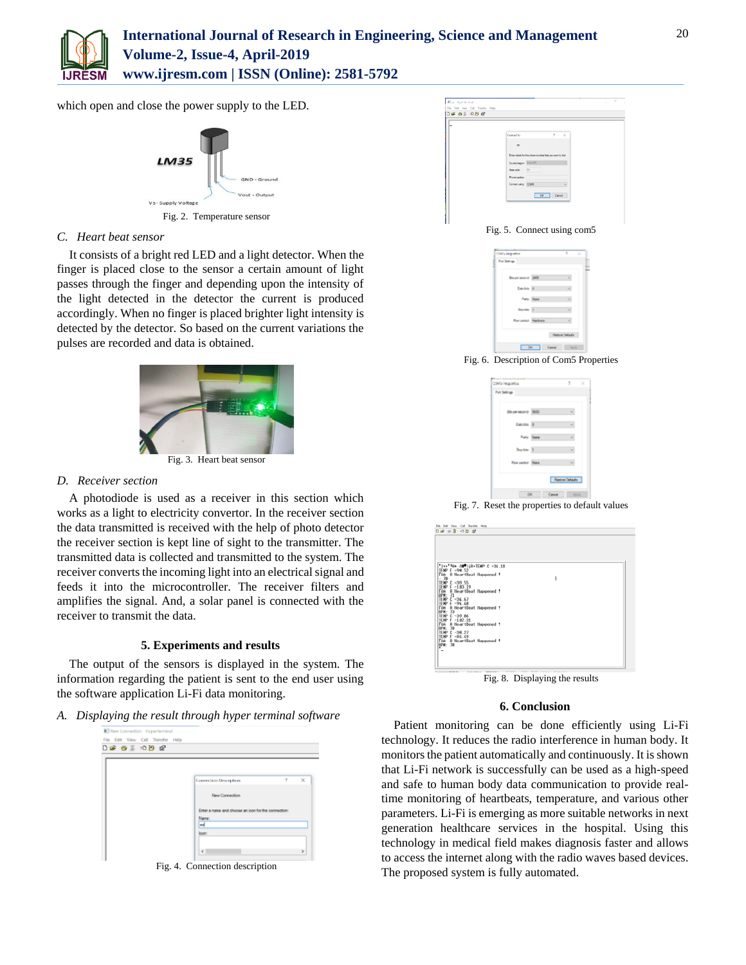

# **International Journal of Research in Engineering, Science and Management Volume-2, Issue-4, April-2019 www.ijresm.com | ISSN (Online): 2581-5792**

which open and close the power supply to the LED.



# *C. Heart beat sensor*

It consists of a bright red LED and a light detector. When the finger is placed close to the sensor a certain amount of light passes through the finger and depending upon the intensity of the light detected in the detector the current is produced accordingly. When no finger is placed brighter light intensity is detected by the detector. So based on the current variations the pulses are recorded and data is obtained.



# *D. Receiver section*

A photodiode is used as a receiver in this section which works as a light to electricity convertor. In the receiver section the data transmitted is received with the help of photo detector the receiver section is kept line of sight to the transmitter. The transmitted data is collected and transmitted to the system. The receiver converts the incoming light into an electrical signal and feeds it into the microcontroller. The receiver filters and amplifies the signal. And, a solar panel is connected with the receiver to transmit the data.

## **5. Experiments and results**

The output of the sensors is displayed in the system. The information regarding the patient is sent to the end user using the software application Li-Fi data monitoring.

# *A. Displaying the result through hyper terminal software*

| New Connection HyperTerminal<br>File Edit View Call Transfer Help |                                                     |   |          |
|-------------------------------------------------------------------|-----------------------------------------------------|---|----------|
|                                                                   |                                                     |   |          |
|                                                                   |                                                     |   |          |
|                                                                   |                                                     |   |          |
|                                                                   | <b>Connection Description</b>                       | 7 | $\times$ |
|                                                                   |                                                     |   |          |
|                                                                   | New Connection                                      |   |          |
|                                                                   | Enter a name and choose an icon for the connection: |   |          |
|                                                                   | Name:                                               |   |          |
|                                                                   | las                                                 |   |          |
|                                                                   | loon:                                               |   |          |
|                                                                   | $\epsilon$                                          |   | ×        |
|                                                                   |                                                     |   |          |

Fig. 4. Connection description

| 0.6898<br>w |                                                 |                                                          |                   |  |
|-------------|-------------------------------------------------|----------------------------------------------------------|-------------------|--|
|             | Cowed lo                                        |                                                          | Ť<br>$\mathbf{x}$ |  |
|             | $\overline{a}$                                  |                                                          |                   |  |
|             |                                                 | Estar databalla the phone surelies that you want to dail |                   |  |
|             | <b>Contyingum 2014 011</b><br><b>Jose code:</b> | 31                                                       |                   |  |
|             | Prono naskar                                    |                                                          |                   |  |
|             | Connectuary (COMS)                              |                                                          | ٠                 |  |
|             |                                                 | OK Carol                                                 |                   |  |

Fig. 5. Connect using com5

| <b>COVIS Angelford</b> |                    | ٠                    | × |
|------------------------|--------------------|----------------------|---|
| Part Sattings          |                    |                      |   |
| <b>Boys word</b> 240   |                    | w                    |   |
| Establis III           |                    | 니                    |   |
|                        | <b>Party Store</b> | 니                    |   |
| Shap better 1          |                    | w                    |   |
| Roy certo). Hashare    |                    | ۰                    |   |
|                        |                    | <b>Federa Ostado</b> |   |
|                        | OK Cancel          | <b>Hotel</b>         |   |

Fig. 6. Description of Com5 Properties

| <b>CAS Reported</b> |                   | ,,                    | $\mathcal{N}$ |
|---------------------|-------------------|-----------------------|---------------|
| Pot Sellings        |                   |                       |               |
| Unpersecret 960     |                   | w                     |               |
| Dastes III          |                   | $\sim$                |               |
|                     | <b>Raily Time</b> | ۰                     |               |
| Sep bis 1           |                   | w                     |               |
| Roy centrol: None   |                   |                       |               |
|                     |                   | <b>Redon Defaults</b> |               |
| OK.                 | Cancel            |                       |               |

Fig. 7. Reset the properties to default values



Fig. 8. Displaying the results

### **6. Conclusion**

Patient monitoring can be done efficiently using Li-Fi technology. It reduces the radio interference in human body. It monitors the patient automatically and continuously. It is shown that Li-Fi network is successfully can be used as a high-speed and safe to human body data communication to provide realtime monitoring of heartbeats, temperature, and various other parameters. Li-Fi is emerging as more suitable networks in next generation healthcare services in the hospital. Using this technology in medical field makes diagnosis faster and allows to access the internet along with the radio waves based devices. The proposed system is fully automated.